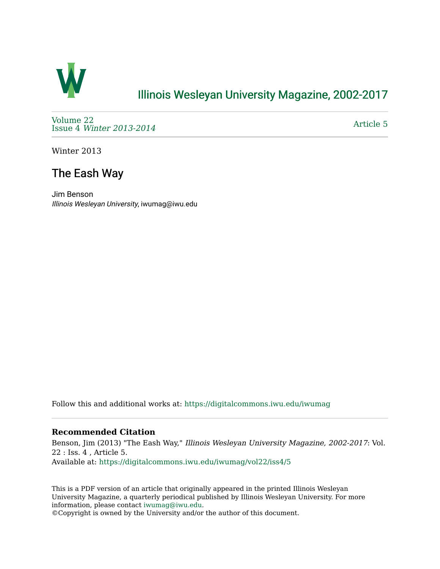

## [Illinois Wesleyan University Magazine, 2002-2017](https://digitalcommons.iwu.edu/iwumag)

[Volume 22](https://digitalcommons.iwu.edu/iwumag/vol22)  Issue 4 [Winter 2013-2014](https://digitalcommons.iwu.edu/iwumag/vol22/iss4)

[Article 5](https://digitalcommons.iwu.edu/iwumag/vol22/iss4/5) 

Winter 2013

# The Eash Way

Jim Benson Illinois Wesleyan University, iwumag@iwu.edu

Follow this and additional works at: [https://digitalcommons.iwu.edu/iwumag](https://digitalcommons.iwu.edu/iwumag?utm_source=digitalcommons.iwu.edu%2Fiwumag%2Fvol22%2Fiss4%2F5&utm_medium=PDF&utm_campaign=PDFCoverPages) 

#### **Recommended Citation**

Benson, Jim (2013) "The Eash Way," Illinois Wesleyan University Magazine, 2002-2017: Vol. 22 : Iss. 4 , Article 5. Available at: [https://digitalcommons.iwu.edu/iwumag/vol22/iss4/5](https://digitalcommons.iwu.edu/iwumag/vol22/iss4/5?utm_source=digitalcommons.iwu.edu%2Fiwumag%2Fvol22%2Fiss4%2F5&utm_medium=PDF&utm_campaign=PDFCoverPages)

This is a PDF version of an article that originally appeared in the printed Illinois Wesleyan University Magazine, a quarterly periodical published by Illinois Wesleyan University. For more information, please contact [iwumag@iwu.edu](mailto:iwumag@iwu.edu).

©Copyright is owned by the University and/or the author of this document.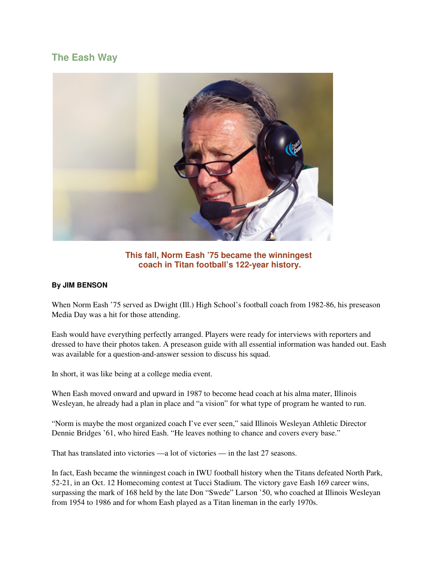### **The Eash Way**



**This fall, Norm Eash '75 became the winningest coach in Titan football's 122-year history.** 

#### **By JIM BENSON**

When Norm Eash '75 served as Dwight (Ill.) High School's football coach from 1982-86, his preseason Media Day was a hit for those attending.

Eash would have everything perfectly arranged. Players were ready for interviews with reporters and dressed to have their photos taken. A preseason guide with all essential information was handed out. Eash was available for a question-and-answer session to discuss his squad.

In short, it was like being at a college media event.

When Eash moved onward and upward in 1987 to become head coach at his alma mater, Illinois Wesleyan, he already had a plan in place and "a vision" for what type of program he wanted to run.

"Norm is maybe the most organized coach I've ever seen," said Illinois Wesleyan Athletic Director Dennie Bridges '61, who hired Eash. "He leaves nothing to chance and covers every base."

That has translated into victories —a lot of victories — in the last 27 seasons.

In fact, Eash became the winningest coach in IWU football history when the Titans defeated North Park, 52-21, in an Oct. 12 Homecoming contest at Tucci Stadium. The victory gave Eash 169 career wins, surpassing the mark of 168 held by the late Don "Swede" Larson '50, who coached at Illinois Wesleyan from 1954 to 1986 and for whom Eash played as a Titan lineman in the early 1970s.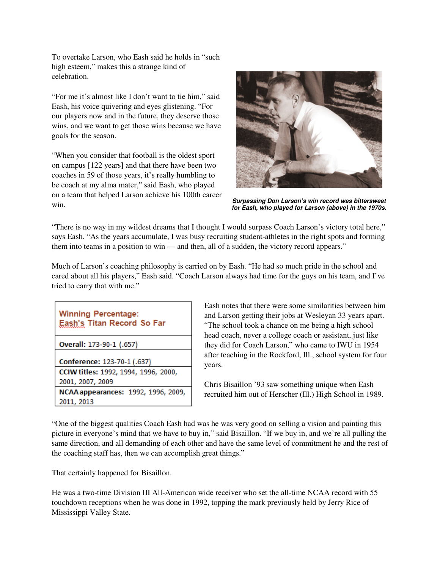To overtake Larson, who Eash said he holds in "such high esteem," makes this a strange kind of celebration.

"For me it's almost like I don't want to tie him," said Eash, his voice quivering and eyes glistening. "For our players now and in the future, they deserve those wins, and we want to get those wins because we have goals for the season.

"When you consider that football is the oldest sport on campus [122 years] and that there have been two coaches in 59 of those years, it's really humbling to be coach at my alma mater," said Eash, who played on a team that helped Larson achieve his 100th career win.



**Surpassing Don Larson's win record was bittersweet for Eash, who played for Larson (above) in the 1970s.**

"There is no way in my wildest dreams that I thought I would surpass Coach Larson's victory total here," says Eash. "As the years accumulate, I was busy recruiting student-athletes in the right spots and forming them into teams in a position to win — and then, all of a sudden, the victory record appears."

Much of Larson's coaching philosophy is carried on by Eash. "He had so much pride in the school and cared about all his players," Eash said. "Coach Larson always had time for the guys on his team, and I've tried to carry that with me."

| <b>Winning Percentage:</b><br>Eash's Titan Record So Far |
|----------------------------------------------------------|
| Overall: 173-90-1 (.657)                                 |
| Conference: 123-70-1 (.637)                              |
| CCIW titles: 1992, 1994, 1996, 2000,                     |
| 2001, 2007, 2009                                         |
| NCAA appearances: 1992, 1996, 2009,                      |
| 2011, 2013                                               |

Eash notes that there were some similarities between him and Larson getting their jobs at Wesleyan 33 years apart. "The school took a chance on me being a high school head coach, never a college coach or assistant, just like they did for Coach Larson," who came to IWU in 1954 after teaching in the Rockford, Ill., school system for four years.

Chris Bisaillon '93 saw something unique when Eash recruited him out of Herscher (Ill.) High School in 1989.

"One of the biggest qualities Coach Eash had was he was very good on selling a vision and painting this picture in everyone's mind that we have to buy in," said Bisaillon. "If we buy in, and we're all pulling the same direction, and all demanding of each other and have the same level of commitment he and the rest of the coaching staff has, then we can accomplish great things."

That certainly happened for Bisaillon.

He was a two-time Division III All-American wide receiver who set the all-time NCAA record with 55 touchdown receptions when he was done in 1992, topping the mark previously held by Jerry Rice of Mississippi Valley State.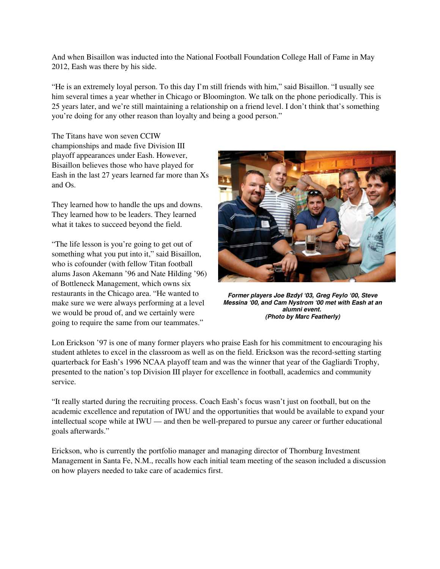And when Bisaillon was inducted into the National Football Foundation College Hall of Fame in May 2012, Eash was there by his side.

"He is an extremely loyal person. To this day I'm still friends with him," said Bisaillon. "I usually see him several times a year whether in Chicago or Bloomington. We talk on the phone periodically. This is 25 years later, and we're still maintaining a relationship on a friend level. I don't think that's something you're doing for any other reason than loyalty and being a good person."

The Titans have won seven CCIW championships and made five Division III playoff appearances under Eash. However, Bisaillon believes those who have played for Eash in the last 27 years learned far more than Xs and Os.

They learned how to handle the ups and downs. They learned how to be leaders. They learned what it takes to succeed beyond the field.

"The life lesson is you're going to get out of something what you put into it," said Bisaillon, who is cofounder (with fellow Titan football alums Jason Akemann '96 and Nate Hilding '96) of Bottleneck Management, which owns six restaurants in the Chicago area. "He wanted to make sure we were always performing at a level we would be proud of, and we certainly were going to require the same from our teammates."



**Former players Joe Bzdyl '03, Greg Feylo '00, Steve Messina '00, and Cam Nystrom '00 met with Eash at an alumni event. (Photo by Marc Featherly)**

Lon Erickson '97 is one of many former players who praise Eash for his commitment to encouraging his student athletes to excel in the classroom as well as on the field. Erickson was the record-setting starting quarterback for Eash's 1996 NCAA playoff team and was the winner that year of the Gagliardi Trophy, presented to the nation's top Division III player for excellence in football, academics and community service.

"It really started during the recruiting process. Coach Eash's focus wasn't just on football, but on the academic excellence and reputation of IWU and the opportunities that would be available to expand your intellectual scope while at IWU — and then be well-prepared to pursue any career or further educational goals afterwards."

Erickson, who is currently the portfolio manager and managing director of Thornburg Investment Management in Santa Fe, N.M., recalls how each initial team meeting of the season included a discussion on how players needed to take care of academics first.